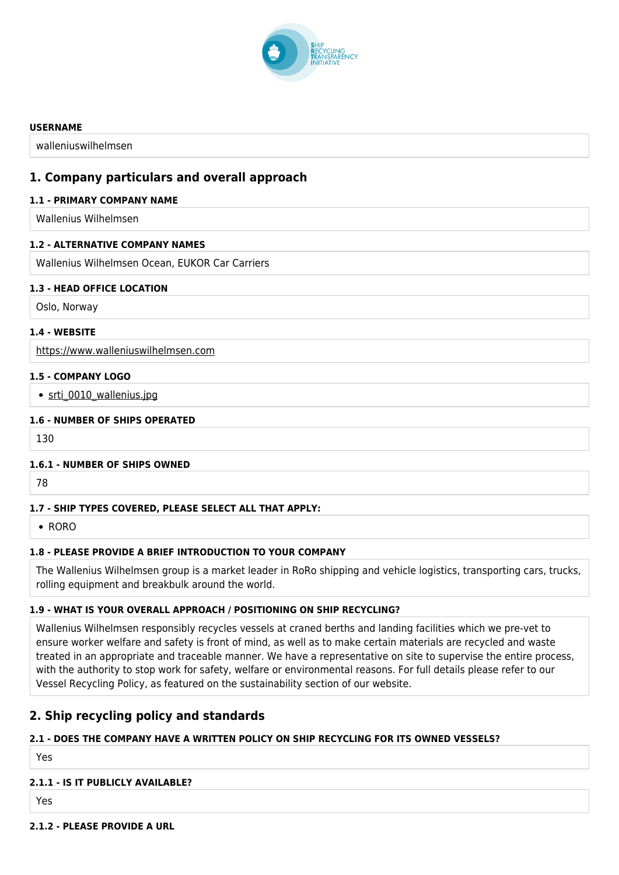

#### **USERNAME**

walleniuswilhelmsen

## **1. Company particulars and overall approach**

#### **1.1 - PRIMARY COMPANY NAME**

Wallenius Wilhelmsen

## **1.2 - ALTERNATIVE COMPANY NAMES**

Wallenius Wilhelmsen Ocean, EUKOR Car Carriers

## **1.3 - HEAD OFFICE LOCATION**

Oslo, Norway

## **1.4 - WEBSITE**

<https://www.walleniuswilhelmsen.com>

## **1.5 - COMPANY LOGO**

• [srti\\_0010\\_wallenius.jpg](http://www.shiprecyclingtransparency.org/wp-content/uploads/gravity_forms/1-90ab26b4ee552bd8919070d84c2cb61a/2020/10/srti_0010_wallenius.jpg)

## **1.6 - NUMBER OF SHIPS OPERATED**

130

## **1.6.1 - NUMBER OF SHIPS OWNED**

78

## **1.7 - SHIP TYPES COVERED, PLEASE SELECT ALL THAT APPLY:**

• RORO

## **1.8 - PLEASE PROVIDE A BRIEF INTRODUCTION TO YOUR COMPANY**

The Wallenius Wilhelmsen group is a market leader in RoRo shipping and vehicle logistics, transporting cars, trucks, rolling equipment and breakbulk around the world.

## **1.9 - WHAT IS YOUR OVERALL APPROACH / POSITIONING ON SHIP RECYCLING?**

Wallenius Wilhelmsen responsibly recycles vessels at craned berths and landing facilities which we pre-vet to ensure worker welfare and safety is front of mind, as well as to make certain materials are recycled and waste treated in an appropriate and traceable manner. We have a representative on site to supervise the entire process, with the authority to stop work for safety, welfare or environmental reasons. For full details please refer to our Vessel Recycling Policy, as featured on the sustainability section of our website.

# **2. Ship recycling policy and standards**

## **2.1 - DOES THE COMPANY HAVE A WRITTEN POLICY ON SHIP RECYCLING FOR ITS OWNED VESSELS?**

Yes

# **2.1.1 - IS IT PUBLICLY AVAILABLE?**

Yes

**2.1.2 - PLEASE PROVIDE A URL**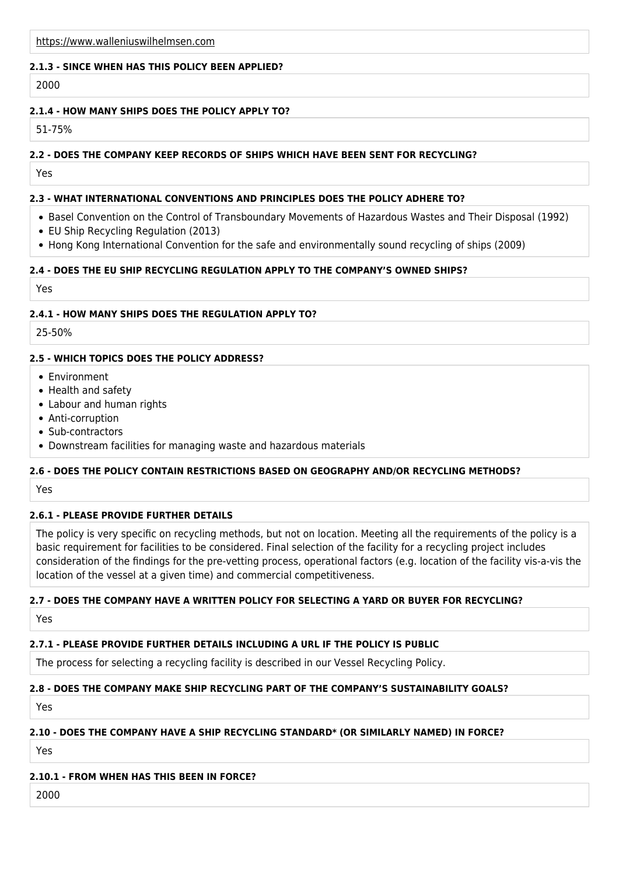## **2.1.3 - SINCE WHEN HAS THIS POLICY BEEN APPLIED?**

2000

## **2.1.4 - HOW MANY SHIPS DOES THE POLICY APPLY TO?**

51-75%

## **2.2 - DOES THE COMPANY KEEP RECORDS OF SHIPS WHICH HAVE BEEN SENT FOR RECYCLING?**

Yes

## **2.3 - WHAT INTERNATIONAL CONVENTIONS AND PRINCIPLES DOES THE POLICY ADHERE TO?**

- Basel Convention on the Control of Transboundary Movements of Hazardous Wastes and Their Disposal (1992)
- EU Ship Recycling Regulation (2013)
- Hong Kong International Convention for the safe and environmentally sound recycling of ships (2009)

## **2.4 - DOES THE EU SHIP RECYCLING REGULATION APPLY TO THE COMPANY'S OWNED SHIPS?**

Yes

## **2.4.1 - HOW MANY SHIPS DOES THE REGULATION APPLY TO?**

25-50%

## **2.5 - WHICH TOPICS DOES THE POLICY ADDRESS?**

- Environment
- Health and safety
- Labour and human rights
- Anti-corruption
- Sub-contractors
- Downstream facilities for managing waste and hazardous materials

# **2.6 - DOES THE POLICY CONTAIN RESTRICTIONS BASED ON GEOGRAPHY AND/OR RECYCLING METHODS?**

Yes

## **2.6.1 - PLEASE PROVIDE FURTHER DETAILS**

The policy is very specific on recycling methods, but not on location. Meeting all the requirements of the policy is a basic requirement for facilities to be considered. Final selection of the facility for a recycling project includes consideration of the findings for the pre-vetting process, operational factors (e.g. location of the facility vis-a-vis the location of the vessel at a given time) and commercial competitiveness.

## **2.7 - DOES THE COMPANY HAVE A WRITTEN POLICY FOR SELECTING A YARD OR BUYER FOR RECYCLING?**

Yes

## **2.7.1 - PLEASE PROVIDE FURTHER DETAILS INCLUDING A URL IF THE POLICY IS PUBLIC**

The process for selecting a recycling facility is described in our Vessel Recycling Policy.

## **2.8 - DOES THE COMPANY MAKE SHIP RECYCLING PART OF THE COMPANY'S SUSTAINABILITY GOALS?**

Yes

## **2.10 - DOES THE COMPANY HAVE A SHIP RECYCLING STANDARD\* (OR SIMILARLY NAMED) IN FORCE?**

Yes

## **2.10.1 - FROM WHEN HAS THIS BEEN IN FORCE?**

2000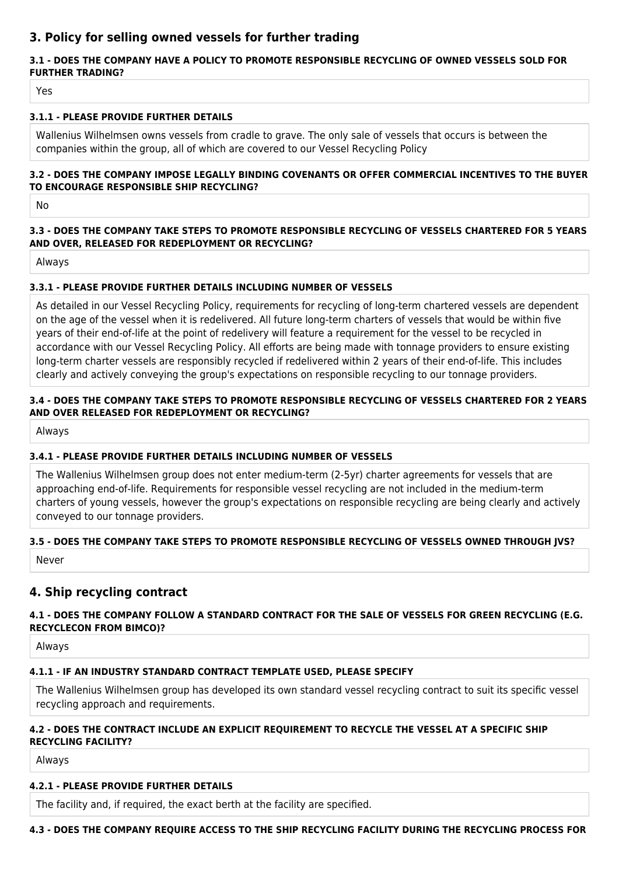# **3. Policy for selling owned vessels for further trading**

## **3.1 - DOES THE COMPANY HAVE A POLICY TO PROMOTE RESPONSIBLE RECYCLING OF OWNED VESSELS SOLD FOR FURTHER TRADING?**

Yes

## **3.1.1 - PLEASE PROVIDE FURTHER DETAILS**

Wallenius Wilhelmsen owns vessels from cradle to grave. The only sale of vessels that occurs is between the companies within the group, all of which are covered to our Vessel Recycling Policy

#### **3.2 - DOES THE COMPANY IMPOSE LEGALLY BINDING COVENANTS OR OFFER COMMERCIAL INCENTIVES TO THE BUYER TO ENCOURAGE RESPONSIBLE SHIP RECYCLING?**

No

## **3.3 - DOES THE COMPANY TAKE STEPS TO PROMOTE RESPONSIBLE RECYCLING OF VESSELS CHARTERED FOR 5 YEARS AND OVER, RELEASED FOR REDEPLOYMENT OR RECYCLING?**

Always

## **3.3.1 - PLEASE PROVIDE FURTHER DETAILS INCLUDING NUMBER OF VESSELS**

As detailed in our Vessel Recycling Policy, requirements for recycling of long-term chartered vessels are dependent on the age of the vessel when it is redelivered. All future long-term charters of vessels that would be within five years of their end-of-life at the point of redelivery will feature a requirement for the vessel to be recycled in accordance with our Vessel Recycling Policy. All efforts are being made with tonnage providers to ensure existing long-term charter vessels are responsibly recycled if redelivered within 2 years of their end-of-life. This includes clearly and actively conveying the group's expectations on responsible recycling to our tonnage providers.

## **3.4 - DOES THE COMPANY TAKE STEPS TO PROMOTE RESPONSIBLE RECYCLING OF VESSELS CHARTERED FOR 2 YEARS AND OVER RELEASED FOR REDEPLOYMENT OR RECYCLING?**

Always

## **3.4.1 - PLEASE PROVIDE FURTHER DETAILS INCLUDING NUMBER OF VESSELS**

The Wallenius Wilhelmsen group does not enter medium-term (2-5yr) charter agreements for vessels that are approaching end-of-life. Requirements for responsible vessel recycling are not included in the medium-term charters of young vessels, however the group's expectations on responsible recycling are being clearly and actively conveyed to our tonnage providers.

## **3.5 - DOES THE COMPANY TAKE STEPS TO PROMOTE RESPONSIBLE RECYCLING OF VESSELS OWNED THROUGH JVS?**

Never

# **4. Ship recycling contract**

## **4.1 - DOES THE COMPANY FOLLOW A STANDARD CONTRACT FOR THE SALE OF VESSELS FOR GREEN RECYCLING (E.G. RECYCLECON FROM BIMCO)?**

Always

## **4.1.1 - IF AN INDUSTRY STANDARD CONTRACT TEMPLATE USED, PLEASE SPECIFY**

The Wallenius Wilhelmsen group has developed its own standard vessel recycling contract to suit its specific vessel recycling approach and requirements.

## **4.2 - DOES THE CONTRACT INCLUDE AN EXPLICIT REQUIREMENT TO RECYCLE THE VESSEL AT A SPECIFIC SHIP RECYCLING FACILITY?**

Always

## **4.2.1 - PLEASE PROVIDE FURTHER DETAILS**

The facility and, if required, the exact berth at the facility are specified.

**4.3 - DOES THE COMPANY REQUIRE ACCESS TO THE SHIP RECYCLING FACILITY DURING THE RECYCLING PROCESS FOR**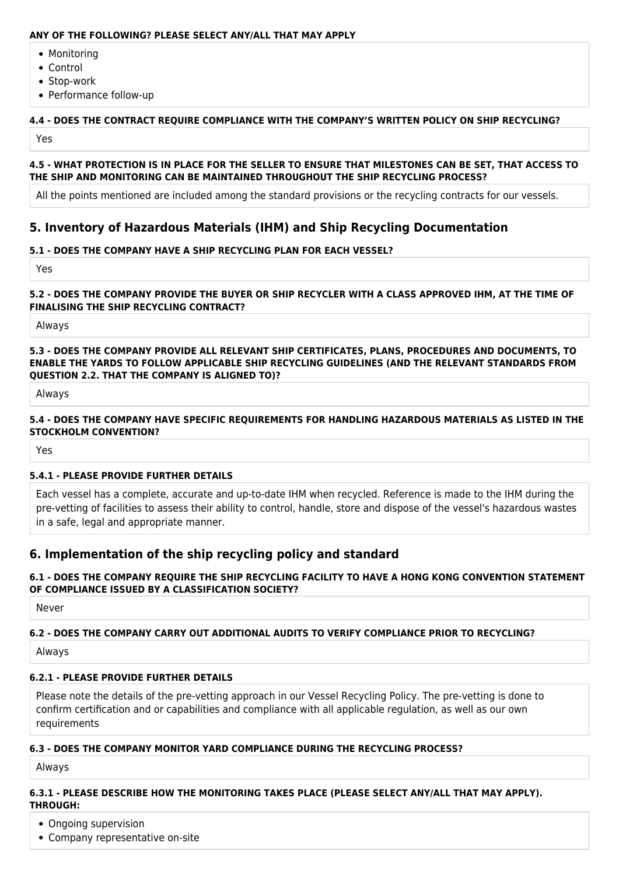#### **ANY OF THE FOLLOWING? PLEASE SELECT ANY/ALL THAT MAY APPLY**

- Monitoring
- Control
- Stop-work
- Performance follow-up

## **4.4 - DOES THE CONTRACT REQUIRE COMPLIANCE WITH THE COMPANY'S WRITTEN POLICY ON SHIP RECYCLING?**

Yes

## **4.5 - WHAT PROTECTION IS IN PLACE FOR THE SELLER TO ENSURE THAT MILESTONES CAN BE SET, THAT ACCESS TO THE SHIP AND MONITORING CAN BE MAINTAINED THROUGHOUT THE SHIP RECYCLING PROCESS?**

All the points mentioned are included among the standard provisions or the recycling contracts for our vessels.

# **5. Inventory of Hazardous Materials (IHM) and Ship Recycling Documentation**

## **5.1 - DOES THE COMPANY HAVE A SHIP RECYCLING PLAN FOR EACH VESSEL?**

Yes

**5.2 - DOES THE COMPANY PROVIDE THE BUYER OR SHIP RECYCLER WITH A CLASS APPROVED IHM, AT THE TIME OF FINALISING THE SHIP RECYCLING CONTRACT?**

Always

**5.3 - DOES THE COMPANY PROVIDE ALL RELEVANT SHIP CERTIFICATES, PLANS, PROCEDURES AND DOCUMENTS, TO ENABLE THE YARDS TO FOLLOW APPLICABLE SHIP RECYCLING GUIDELINES (AND THE RELEVANT STANDARDS FROM QUESTION 2.2. THAT THE COMPANY IS ALIGNED TO)?**

Always

#### **5.4 - DOES THE COMPANY HAVE SPECIFIC REQUIREMENTS FOR HANDLING HAZARDOUS MATERIALS AS LISTED IN THE STOCKHOLM CONVENTION?**

Yes

## **5.4.1 - PLEASE PROVIDE FURTHER DETAILS**

Each vessel has a complete, accurate and up-to-date IHM when recycled. Reference is made to the IHM during the pre-vetting of facilities to assess their ability to control, handle, store and dispose of the vessel's hazardous wastes in a safe, legal and appropriate manner.

# **6. Implementation of the ship recycling policy and standard**

## **6.1 - DOES THE COMPANY REQUIRE THE SHIP RECYCLING FACILITY TO HAVE A HONG KONG CONVENTION STATEMENT OF COMPLIANCE ISSUED BY A CLASSIFICATION SOCIETY?**

Never

## **6.2 - DOES THE COMPANY CARRY OUT ADDITIONAL AUDITS TO VERIFY COMPLIANCE PRIOR TO RECYCLING?**

Always

## **6.2.1 - PLEASE PROVIDE FURTHER DETAILS**

Please note the details of the pre-vetting approach in our Vessel Recycling Policy. The pre-vetting is done to confirm certification and or capabilities and compliance with all applicable regulation, as well as our own requirements

## **6.3 - DOES THE COMPANY MONITOR YARD COMPLIANCE DURING THE RECYCLING PROCESS?**

Always

## **6.3.1 - PLEASE DESCRIBE HOW THE MONITORING TAKES PLACE (PLEASE SELECT ANY/ALL THAT MAY APPLY). THROUGH:**

- Ongoing supervision
- Company representative on-site